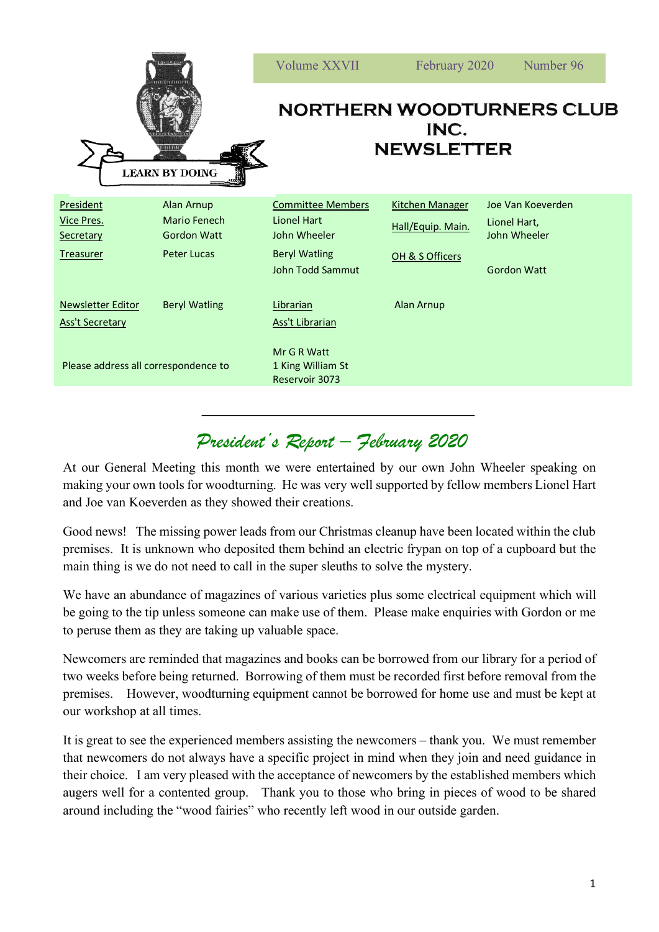| <b>LEARN BY DOING</b>                                                  |                                                                                      | Volume XXVII                                                                                        | February 2020                                                  | Number 96                                                               |
|------------------------------------------------------------------------|--------------------------------------------------------------------------------------|-----------------------------------------------------------------------------------------------------|----------------------------------------------------------------|-------------------------------------------------------------------------|
|                                                                        |                                                                                      | <b>NORTHERN WOODTURNERS CLUB</b><br>INC.<br><b>NEWSLETTER</b>                                       |                                                                |                                                                         |
| <b>President</b><br><u>Vice Pres.</u><br>Secretary<br><b>Treasurer</b> | <b>Alan Arnup</b><br><b>Mario Fenech</b><br><b>Gordon Watt</b><br><b>Peter Lucas</b> | <b>Committee Members</b><br>Lionel Hart<br>John Wheeler<br><b>Beryl Watling</b><br>John Todd Sammut | <b>Kitchen Manager</b><br>Hall/Equip. Main.<br>OH & S Officers | Joe Van Koeverden<br>Lionel Hart,<br>John Wheeler<br><b>Gordon Watt</b> |
| <b>Newsletter Editor</b><br><b>Ass't Secretary</b>                     | <b>Beryl Watling</b>                                                                 | Librarian<br><b>Ass't Librarian</b>                                                                 | Alan Arnup                                                     |                                                                         |
| Please address all correspondence to                                   |                                                                                      | Mr G R Watt<br>1 King William St<br>Reservoir 3073                                                  |                                                                |                                                                         |

## *President's Report – February 2020*

At our General Meeting this month we were entertained by our own John Wheeler speaking on making your own tools for woodturning. He was very well supported by fellow members Lionel Hart and Joe van Koeverden as they showed their creations.

Good news! The missing power leads from our Christmas cleanup have been located within the club premises. It is unknown who deposited them behind an electric frypan on top of a cupboard but the main thing is we do not need to call in the super sleuths to solve the mystery.

We have an abundance of magazines of various varieties plus some electrical equipment which will be going to the tip unless someone can make use of them. Please make enquiries with Gordon or me to peruse them as they are taking up valuable space.

Newcomers are reminded that magazines and books can be borrowed from our library for a period of two weeks before being returned. Borrowing of them must be recorded first before removal from the premises. However, woodturning equipment cannot be borrowed for home use and must be kept at our workshop at all times.

It is great to see the experienced members assisting the newcomers – thank you. We must remember that newcomers do not always have a specific project in mind when they join and need guidance in their choice. I am very pleased with the acceptance of newcomers by the established members which augers well for a contented group. Thank you to those who bring in pieces of wood to be shared around including the "wood fairies" who recently left wood in our outside garden.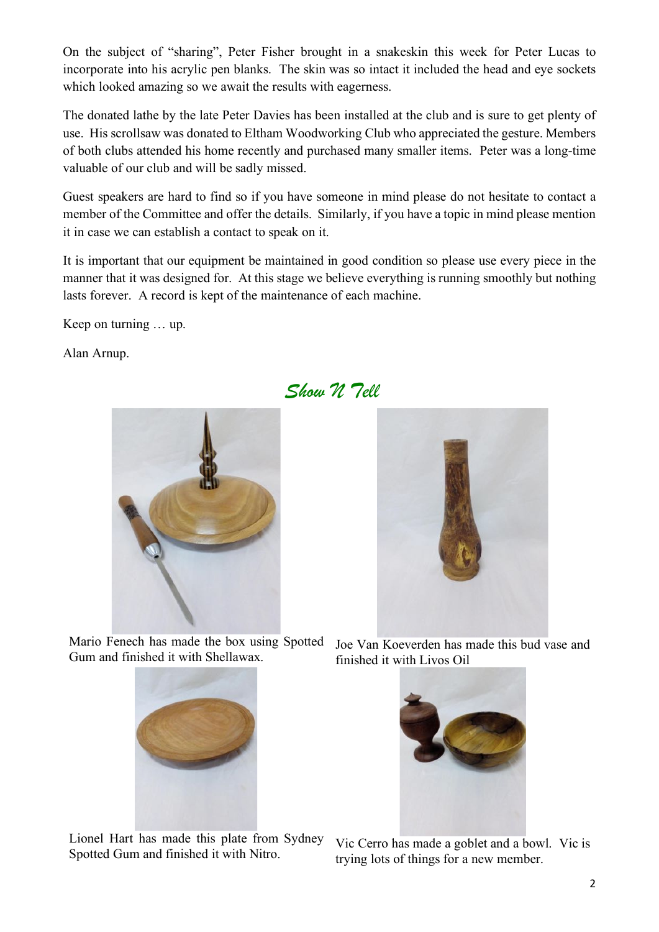On the subject of "sharing", Peter Fisher brought in a snakeskin this week for Peter Lucas to incorporate into his acrylic pen blanks. The skin was so intact it included the head and eye sockets which looked amazing so we await the results with eagerness.

The donated lathe by the late Peter Davies has been installed at the club and is sure to get plenty of use. His scrollsaw was donated to Eltham Woodworking Club who appreciated the gesture. Members of both clubs attended his home recently and purchased many smaller items. Peter was a long-time valuable of our club and will be sadly missed.

Guest speakers are hard to find so if you have someone in mind please do not hesitate to contact a member of the Committee and offer the details. Similarly, if you have a topic in mind please mention it in case we can establish a contact to speak on it.

It is important that our equipment be maintained in good condition so please use every piece in the manner that it was designed for. At this stage we believe everything is running smoothly but nothing lasts forever. A record is kept of the maintenance of each machine.

*Show N Tell*

Keep on turning … up.

Alan Arnup.



Mario Fenech has made the box using Spotted Gum and finished it with Shellawax.



Lionel Hart has made this plate from Sydney



Joe Van Koeverden has made this bud vase and finished it with Livos Oil



Lionel Hart has made this plate from Sydney<br>Spotted Gum and finished it with Nitro.<br>The traing lots of things for a new member trying lots of things for a new member.